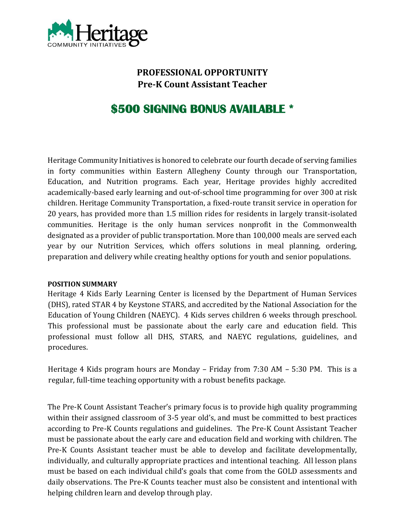

# **PROFESSIONAL OPPORTUNITY Pre-K Count Assistant Teacher**

# **\$500 SIGNING BONUS AVAILABLE \***

Heritage Community Initiatives is honored to celebrate our fourth decade of serving families in forty communities within Eastern Allegheny County through our Transportation, Education, and Nutrition programs. Each year, Heritage provides highly accredited academically-based early learning and out-of-school time programming for over 300 at risk children. Heritage Community Transportation, a fixed-route transit service in operation for 20 years, has provided more than 1.5 million rides for residents in largely transit-isolated communities. Heritage is the only human services nonprofit in the Commonwealth designated as a provider of public transportation. More than 100,000 meals are served each year by our Nutrition Services, which offers solutions in meal planning, ordering, preparation and delivery while creating healthy options for youth and senior populations.

#### **POSITION SUMMARY**

Heritage 4 Kids Early Learning Center is licensed by the Department of Human Services (DHS), rated STAR 4 by Keystone STARS, and accredited by the National Association for the Education of Young Children (NAEYC). 4 Kids serves children 6 weeks through preschool. This professional must be passionate about the early care and education field. This professional must follow all DHS, STARS, and NAEYC regulations, guidelines, and procedures.

Heritage 4 Kids program hours are Monday – Friday from 7:30 AM – 5:30 PM. This is a regular, full-time teaching opportunity with a robust benefits package.

The Pre-K Count Assistant Teacher's primary focus is to provide high quality programming within their assigned classroom of 3-5 year old's, and must be committed to best practices according to Pre-K Counts regulations and guidelines. The Pre-K Count Assistant Teacher must be passionate about the early care and education field and working with children. The Pre-K Counts Assistant teacher must be able to develop and facilitate developmentally, individually, and culturally appropriate practices and intentional teaching. All lesson plans must be based on each individual child's goals that come from the GOLD assessments and daily observations. The Pre-K Counts teacher must also be consistent and intentional with helping children learn and develop through play.